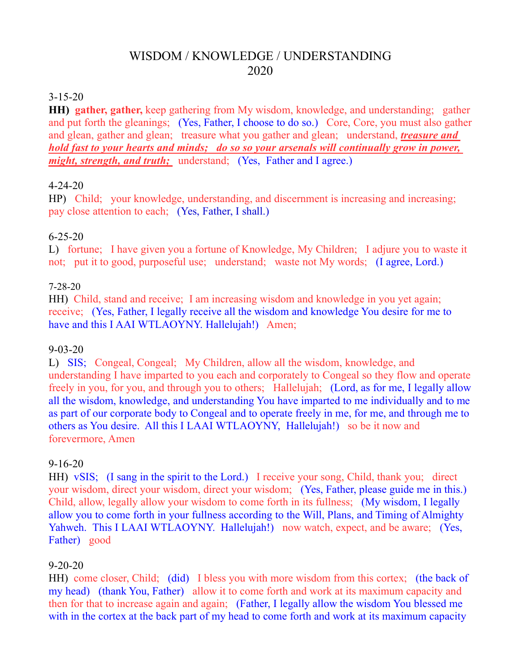# WISDOM / KNOWLEDGE / UNDERSTANDING 2020

#### 3-15-20

**HH) gather, gather,** keep gathering from My wisdom, knowledge, and understanding; gather and put forth the gleanings; (Yes, Father, I choose to do so.) Core, Core, you must also gather and glean, gather and glean; treasure what you gather and glean; understand, *treasure and hold fast to your hearts and minds; do so so your arsenals will continually grow in power, might, strength, and truth;* understand; (Yes, Father and I agree.)

#### 4-24-20

HP) Child; your knowledge, understanding, and discernment is increasing and increasing; pay close attention to each; (Yes, Father, I shall.)

# 6-25-20

L) fortune; I have given you a fortune of Knowledge, My Children; I adjure you to waste it not; put it to good, purposeful use; understand; waste not My words; (I agree, Lord.)

# 7-28-20

HH) Child, stand and receive; I am increasing wisdom and knowledge in you yet again; receive; (Yes, Father, I legally receive all the wisdom and knowledge You desire for me to have and this I AAI WTLAOYNY. Hallelujah!) Amen;

#### 9-03-20

L) SIS; Congeal, Congeal; My Children, allow all the wisdom, knowledge, and understanding I have imparted to you each and corporately to Congeal so they flow and operate freely in you, for you, and through you to others; Hallelujah; (Lord, as for me, I legally allow all the wisdom, knowledge, and understanding You have imparted to me individually and to me as part of our corporate body to Congeal and to operate freely in me, for me, and through me to others as You desire. All this I LAAI WTLAOYNY, Hallelujah!) so be it now and forevermore, Amen

#### 9-16-20

HH) vSIS; (I sang in the spirit to the Lord.) I receive your song, Child, thank you; direct your wisdom, direct your wisdom, direct your wisdom; (Yes, Father, please guide me in this.) Child, allow, legally allow your wisdom to come forth in its fullness; (My wisdom, I legally allow you to come forth in your fullness according to the Will, Plans, and Timing of Almighty Yahweh. This I LAAI WTLAOYNY. Hallelujah!) now watch, expect, and be aware; (Yes, Father) good

#### 9-20-20

HH) come closer, Child; (did) I bless you with more wisdom from this cortex; (the back of my head) (thank You, Father) allow it to come forth and work at its maximum capacity and then for that to increase again and again; (Father, I legally allow the wisdom You blessed me with in the cortex at the back part of my head to come forth and work at its maximum capacity